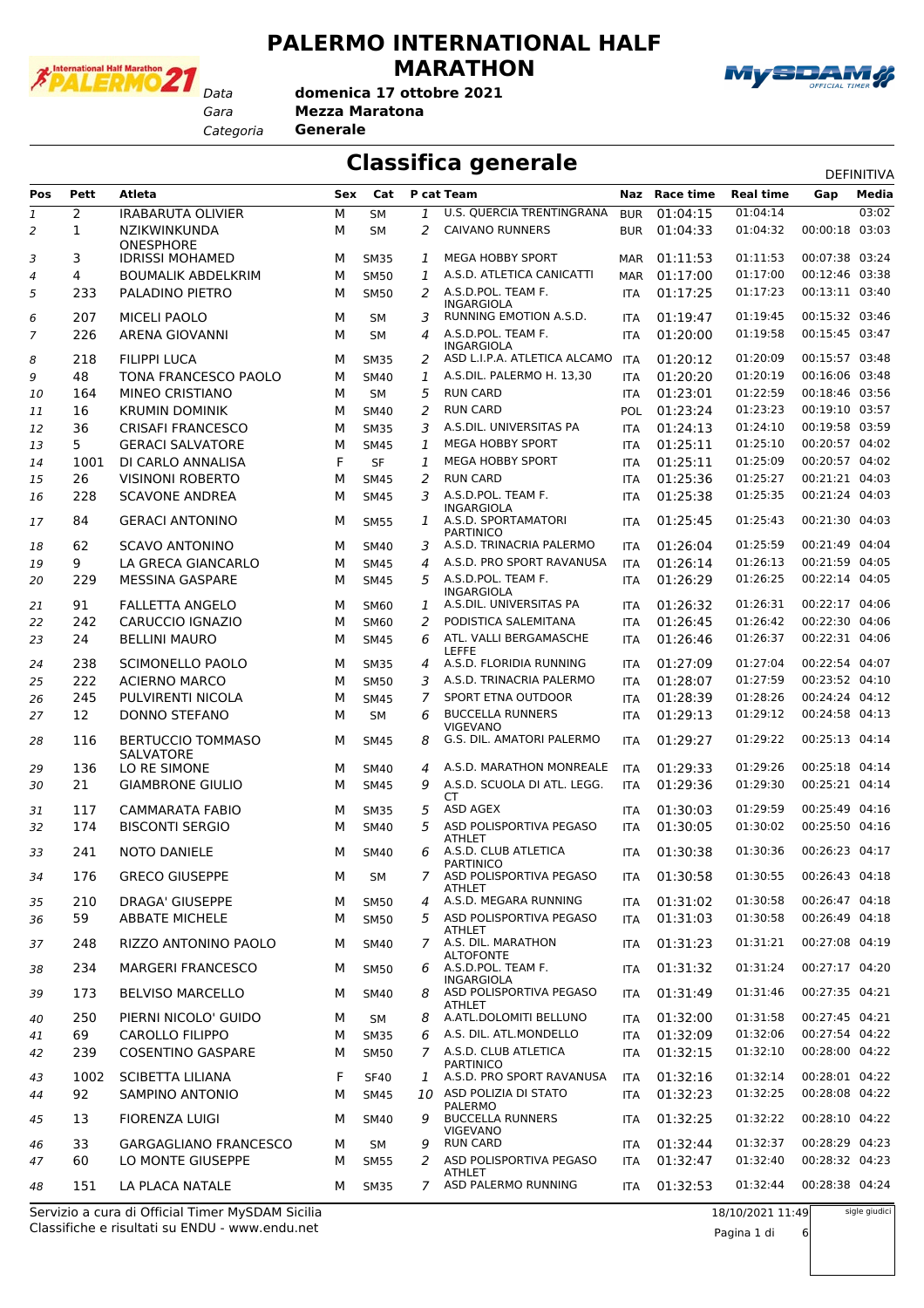

### **PALERMO INTERNATIONAL HALF MARATHON**



**domenica 17 ottobre 2021**

*Gara* **Mezza Maratona**

*Categoria* **Generale**

### **Classifica generale** Definitival Classification of the present of the present of the present of the present of the present of the present of the present of the present of the present of the present of the present of the p

|                |              |                                       |     |             |   |                                            |            |               |                  |                | DEFINITIVA |
|----------------|--------------|---------------------------------------|-----|-------------|---|--------------------------------------------|------------|---------------|------------------|----------------|------------|
| <b>Pos</b>     | Pett         | <b>Atleta</b>                         | Sex | Cat         |   | P cat Team                                 |            | Naz Race time | <b>Real time</b> | Gap            | Media      |
| 1              | 2            | <b>IRABARUTA OLIVIER</b>              | М   | <b>SM</b>   | 1 | U.S. QUERCIA TRENTINGRANA                  | <b>BUR</b> | 01:04:15      | 01:04:14         |                | 03:02      |
| $\overline{2}$ | $\mathbf{1}$ | NZIKWINKUNDA<br><b>ONESPHORE</b>      | М   | <b>SM</b>   | 2 | <b>CAIVANO RUNNERS</b>                     | <b>BUR</b> | 01:04:33      | 01:04:32         | 00:00:18       | 03:03      |
| 3              | 3            | <b>IDRISSI MOHAMED</b>                | м   | <b>SM35</b> | 1 | <b>MEGA HOBBY SPORT</b>                    | <b>MAR</b> | 01:11:53      | 01:11:53         | 00:07:38 03:24 |            |
| 4              | 4            | <b>BOUMALIK ABDELKRIM</b>             | М   | <b>SM50</b> | 1 | A.S.D. ATLETICA CANICATTI                  | MAR        | 01:17:00      | 01:17:00         | 00:12:46 03:38 |            |
| 5              | 233          | PALADINO PIETRO                       | м   | <b>SM50</b> | 2 | A.S.D.POL. TEAM F.<br><b>INGARGIOLA</b>    | <b>ITA</b> | 01:17:25      | 01:17:23         | 00:13:11 03:40 |            |
| 6              | 207          | <b>MICELI PAOLO</b>                   | М   | <b>SM</b>   | 3 | RUNNING EMOTION A.S.D.                     | <b>ITA</b> | 01:19:47      | 01:19:45         | 00:15:32 03:46 |            |
| 7              | 226          | ARENA GIOVANNI                        | М   | <b>SM</b>   | 4 | A.S.D.POL. TEAM F.<br><b>INGARGIOLA</b>    | <b>ITA</b> | 01:20:00      | 01:19:58         | 00:15:45 03:47 |            |
| 8              | 218          | <b>FILIPPI LUCA</b>                   | м   | <b>SM35</b> | 2 | ASD L.I.P.A. ATLETICA ALCAMO               | <b>ITA</b> | 01:20:12      | 01:20:09         | 00:15:57 03:48 |            |
| 9              | 48           | TONA FRANCESCO PAOLO                  | М   | <b>SM40</b> | 1 | A.S.DIL. PALERMO H. 13,30                  | <b>ITA</b> | 01:20:20      | 01:20:19         | 00:16:06 03:48 |            |
| 10             | 164          | MINEO CRISTIANO                       | М   | <b>SM</b>   | 5 | <b>RUN CARD</b>                            | <b>ITA</b> | 01:23:01      | 01:22:59         | 00:18:46 03:56 |            |
| 11             | 16           | <b>KRUMIN DOMINIK</b>                 | М   | SM40        | 2 | <b>RUN CARD</b>                            | <b>POL</b> | 01:23:24      | 01:23:23         | 00:19:10 03:57 |            |
| 12             | 36           | <b>CRISAFI FRANCESCO</b>              | М   | <b>SM35</b> | 3 | A.S.DIL. UNIVERSITAS PA                    | <b>ITA</b> | 01:24:13      | 01:24:10         | 00:19:58 03:59 |            |
| 13             | 5            | <b>GERACI SALVATORE</b>               | М   | <b>SM45</b> | 1 | <b>MEGA HOBBY SPORT</b>                    | <b>ITA</b> | 01:25:11      | 01:25:10         | 00:20:57 04:02 |            |
| 14             | 1001         | DI CARLO ANNALISA                     | F   | <b>SF</b>   | 1 | <b>MEGA HOBBY SPORT</b>                    | <b>ITA</b> | 01:25:11      | 01:25:09         | 00:20:57 04:02 |            |
| 15             | 26           | <b>VISINONI ROBERTO</b>               | М   | <b>SM45</b> | 2 | <b>RUN CARD</b>                            | <b>ITA</b> | 01:25:36      | 01:25:27         | 00:21:21 04:03 |            |
| 16             | 228          | <b>SCAVONE ANDREA</b>                 | М   | <b>SM45</b> | 3 | A.S.D.POL. TEAM F.<br><b>INGARGIOLA</b>    | <b>ITA</b> | 01:25:38      | 01:25:35         | 00:21:24 04:03 |            |
| 17             | 84           | <b>GERACI ANTONINO</b>                | м   | <b>SM55</b> | 1 | A.S.D. SPORTAMATORI<br><b>PARTINICO</b>    | <b>ITA</b> | 01:25:45      | 01:25:43         | 00:21:30 04:03 |            |
| 18             | 62           | <b>SCAVO ANTONINO</b>                 | м   | <b>SM40</b> | 3 | A.S.D. TRINACRIA PALERMO                   | <b>ITA</b> | 01:26:04      | 01:25:59         | 00:21:49 04:04 |            |
| 19             | 9            | LA GRECA GIANCARLO                    | М   | <b>SM45</b> | 4 | A.S.D. PRO SPORT RAVANUSA                  | <b>ITA</b> | 01:26:14      | 01:26:13         | 00:21:59 04:05 |            |
| 20             | 229          | <b>MESSINA GASPARE</b>                | М   | <b>SM45</b> | 5 | A.S.D.POL. TEAM F.<br><b>INGARGIOLA</b>    | <b>ITA</b> | 01:26:29      | 01:26:25         | 00:22:14 04:05 |            |
| 21             | 91           | <b>FALLETTA ANGELO</b>                | м   | <b>SM60</b> | 1 | A.S.DIL. UNIVERSITAS PA                    | <b>ITA</b> | 01:26:32      | 01:26:31         | 00:22:17 04:06 |            |
| 22             | 242          | CARUCCIO IGNAZIO                      | М   | <b>SM60</b> | 2 | PODISTICA SALEMITANA                       | <b>ITA</b> | 01:26:45      | 01:26:42         | 00:22:30 04:06 |            |
| 23             | 24           | <b>BELLINI MAURO</b>                  | М   | <b>SM45</b> | 6 | ATL. VALLI BERGAMASCHE<br><b>LEFFE</b>     | <b>ITA</b> | 01:26:46      | 01:26:37         | 00:22:31 04:06 |            |
| 24             | 238          | SCIMONELLO PAOLO                      | м   | <b>SM35</b> | 4 | A.S.D. FLORIDIA RUNNING                    | <b>ITA</b> | 01:27:09      | 01:27:04         | 00:22:54 04:07 |            |
| 25             | 222          | <b>ACIERNO MARCO</b>                  | М   | <b>SM50</b> | 3 | A.S.D. TRINACRIA PALERMO                   | <b>ITA</b> | 01:28:07      | 01:27:59         | 00:23:52 04:10 |            |
| 26             | 245          | PULVIRENTI NICOLA                     | М   | <b>SM45</b> | 7 | SPORT ETNA OUTDOOR                         | <b>ITA</b> | 01:28:39      | 01:28:26         | 00:24:24 04:12 |            |
| 27             | 12           | <b>DONNO STEFANO</b>                  | М   | <b>SM</b>   | 6 | <b>BUCCELLA RUNNERS</b><br>VIGEVANO        | <b>ITA</b> | 01:29:13      | 01:29:12         | 00:24:58 04:13 |            |
| 28             | 116          | <b>BERTUCCIO TOMMASO</b><br>SALVATORE | м   | <b>SM45</b> | 8 | G.S. DIL. AMATORI PALERMO                  | <b>ITA</b> | 01:29:27      | 01:29:22         | 00:25:13 04:14 |            |
| 29             | 136          | LO RE SIMONE                          | м   | <b>SM40</b> | 4 | A.S.D. MARATHON MONREALE                   | <b>ITA</b> | 01:29:33      | 01:29:26         | 00:25:18 04:14 |            |
| 30             | 21           | <b>GIAMBRONE GIULIO</b>               | М   | <b>SM45</b> | 9 | A.S.D. SCUOLA DI ATL. LEGG.<br>СT          | <b>ITA</b> | 01:29:36      | 01:29:30         | 00:25:21 04:14 |            |
| 31             | 117          | <b>CAMMARATA FABIO</b>                | м   | <b>SM35</b> | 5 | ASD AGEX                                   | <b>ITA</b> | 01:30:03      | 01:29:59         | 00:25:49 04:16 |            |
| 32             | 174          | <b>BISCONTI SERGIO</b>                | м   | <b>SM40</b> | 5 | ASD POLISPORTIVA PEGASO<br>ATHLET          | <b>ITA</b> | 01:30:05      | 01:30:02         | 00:25:50 04:16 |            |
| 33             | 241          | <b>NOTO DANIELE</b>                   | м   | SM40        | 6 | A.S.D. CLUB ATLETICA<br><b>PARTINICO</b>   | <b>ITA</b> | 01:30:38      | 01:30:36         | 00:26:23 04:17 |            |
| 34             | 176          | <b>GRECO GIUSEPPE</b>                 | М   | SM          |   | ASD POLISPORTIVA PEGASO<br><b>ATHLET</b>   | ITA        | 01:30:58      | 01:30:55         | 00:26:43 04:18 |            |
| 35             | 210          | <b>DRAGA' GIUSEPPE</b>                | м   | <b>SM50</b> | 4 | A.S.D. MEGARA RUNNING                      | <b>ITA</b> | 01:31:02      | 01:30:58         | 00:26:47 04:18 |            |
| 36             | 59           | <b>ABBATE MICHELE</b>                 | м   | <b>SM50</b> | 5 | ASD POLISPORTIVA PEGASO<br>ATHLET          | <b>ITA</b> | 01:31:03      | 01:30:58         | 00:26:49 04:18 |            |
| 37             | 248          | RIZZO ANTONINO PAOLO                  | м   | SM40        |   | 7 A.S. DIL. MARATHON<br><b>ALTOFONTE</b>   | ITA        | 01:31:23      | 01:31:21         | 00:27:08 04:19 |            |
| 38             | 234          | <b>MARGERI FRANCESCO</b>              | м   | <b>SM50</b> |   | 6 A.S.D.POL. TEAM F.<br>INGARGIOLA         | <b>ITA</b> | 01:31:32      | 01:31:24         | 00:27:17 04:20 |            |
| 39             | 173          | <b>BELVISO MARCELLO</b>               | м   | <b>SM40</b> | 8 | ASD POLISPORTIVA PEGASO<br><b>ATHLET</b>   | <b>ITA</b> | 01:31:49      | 01:31:46         | 00:27:35 04:21 |            |
| 40             | 250          | PIERNI NICOLO' GUIDO                  | м   | <b>SM</b>   | 8 | A.ATL.DOLOMITI BELLUNO                     | <b>ITA</b> | 01:32:00      | 01:31:58         | 00:27:45 04:21 |            |
| 41             | 69           | <b>CAROLLO FILIPPO</b>                | м   | <b>SM35</b> | 6 | A.S. DIL. ATL.MONDELLO                     | <b>ITA</b> | 01:32:09      | 01:32:06         | 00:27:54 04:22 |            |
| 42             | 239          | <b>COSENTINO GASPARE</b>              | М   | <b>SM50</b> | 7 | A.S.D. CLUB ATLETICA<br><b>PARTINICO</b>   | <b>ITA</b> | 01:32:15      | 01:32:10         | 00:28:00 04:22 |            |
| 43             | 1002         | SCIBETTA LILIANA                      | F   | <b>SF40</b> | 1 | A.S.D. PRO SPORT RAVANUSA                  | <b>ITA</b> | 01:32:16      | 01:32:14         | 00:28:01 04:22 |            |
| 44             | 92           | SAMPINO ANTONIO                       | М   | <b>SM45</b> |   | 10 ASD POLIZIA DI STATO<br>PALERMO         | ITA        | 01:32:23      | 01:32:25         | 00:28:08 04:22 |            |
| 45             | 13           | <b>FIORENZA LUIGI</b>                 | м   | SM40        | 9 | <b>BUCCELLA RUNNERS</b><br><b>VIGEVANO</b> | <b>ITA</b> | 01:32:25      | 01:32:22         | 00:28:10 04:22 |            |
| 46             | 33           | <b>GARGAGLIANO FRANCESCO</b>          | м   | <b>SM</b>   | 9 | <b>RUN CARD</b>                            | <b>ITA</b> | 01:32:44      | 01:32:37         | 00:28:29 04:23 |            |
| 47             | 60           | LO MONTE GIUSEPPE                     | м   | <b>SM55</b> | 2 | ASD POLISPORTIVA PEGASO<br>ATHLET          | <b>ITA</b> | 01:32:47      | 01:32:40         | 00:28:32 04:23 |            |
| 48             | 151          | LA PLACA NATALE                       | м   | <b>SM35</b> |   | 7 ASD PALERMO RUNNING                      | <b>ITA</b> | 01:32:53      | 01:32:44         | 00:28:38 04:24 |            |

Classifiche e risultati su ENDU - www.endu.net Servizio a cura di Official Timer MySDAM Sicilia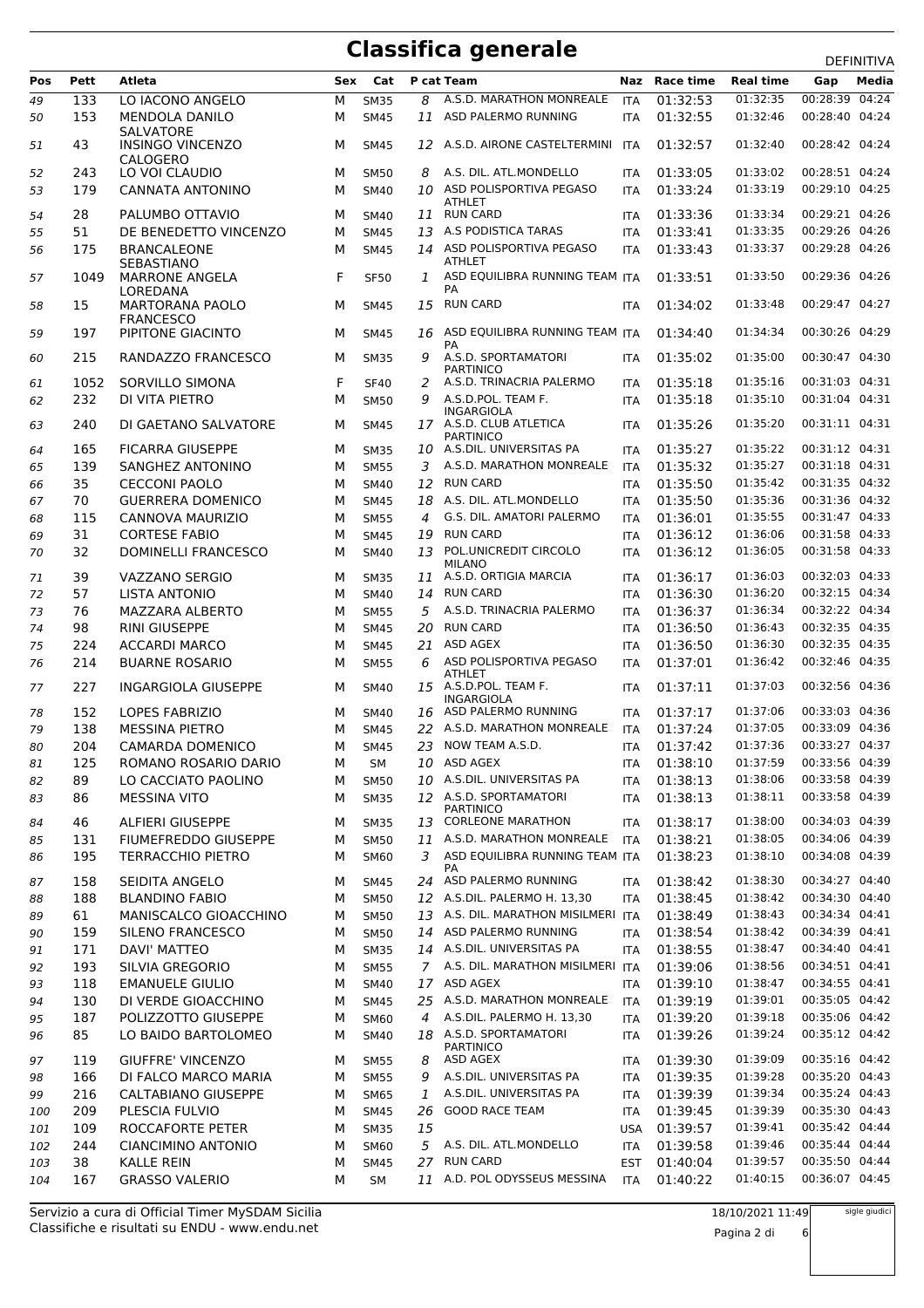| Pos | Pett | Atleta                                      | Sex | Cat         |               | P cat Team                                  |            | Race time | <b>Real time</b> | Gap<br>Media                |  |
|-----|------|---------------------------------------------|-----|-------------|---------------|---------------------------------------------|------------|-----------|------------------|-----------------------------|--|
|     |      |                                             |     |             |               |                                             | Naz        |           |                  |                             |  |
| 49  | 133  | LO IACONO ANGELO                            | М   | <b>SM35</b> | 8             | A.S.D. MARATHON MONREALE                    | <b>ITA</b> | 01:32:53  | 01:32:35         | 00:28:39 04:24              |  |
| 50  | 153  | <b>MENDOLA DANILO</b>                       | м   | <b>SM45</b> | 11            | ASD PALERMO RUNNING                         | <b>ITA</b> | 01:32:55  | 01:32:46         | 00:28:40 04:24              |  |
| 51  | 43   | <b>SALVATORE</b><br><b>INSINGO VINCENZO</b> | м   | <b>SM45</b> |               | 12 A.S.D. AIRONE CASTELTERMINI              | ITA        | 01:32:57  | 01:32:40         | 00:28:42 04:24              |  |
|     |      | CALOGERO                                    |     |             |               |                                             |            |           |                  |                             |  |
| 52  | 243  | LO VOI CLAUDIO                              | м   | <b>SM50</b> | 8             | A.S. DIL. ATL.MONDELLO                      | <b>ITA</b> | 01:33:05  | 01:33:02         | 00:28:51 04:24              |  |
| 53  | 179  | <b>CANNATA ANTONINO</b>                     | M   | <b>SM40</b> |               | 10 ASD POLISPORTIVA PEGASO                  | <b>ITA</b> | 01:33:24  | 01:33:19         | 00:29:10 04:25              |  |
|     |      |                                             |     |             |               | <b>ATHLET</b>                               |            |           |                  |                             |  |
| 54  | 28   | PALUMBO OTTAVIO                             | м   | <b>SM40</b> |               | 11 RUN CARD                                 | ITA        | 01:33:36  | 01:33:34         | 00:29:21 04:26              |  |
| 55  | 51   | DE BENEDETTO VINCENZO                       | M   | <b>SM45</b> |               | 13 A.S PODISTICA TARAS                      | <b>ITA</b> | 01:33:41  | 01:33:35         | 00:29:26 04:26              |  |
| 56  | 175  | <b>BRANCALEONE</b>                          | м   | <b>SM45</b> |               | 14 ASD POLISPORTIVA PEGASO<br><b>ATHLET</b> | <b>ITA</b> | 01:33:43  | 01:33:37         | 00:29:28 04:26              |  |
| 57  | 1049 | SEBASTIANO<br><b>MARRONE ANGELA</b>         | F   | <b>SF50</b> | $\mathcal{I}$ | ASD EQUILIBRA RUNNING TEAM ITA              |            | 01:33:51  | 01:33:50         | 00:29:36 04:26              |  |
|     |      | LOREDANA                                    |     |             |               | PA                                          |            |           |                  |                             |  |
| 58  | 15   | <b>MARTORANA PAOLO</b>                      | м   | <b>SM45</b> | 15            | <b>RUN CARD</b>                             | <b>ITA</b> | 01:34:02  | 01:33:48         | 00:29:47 04:27              |  |
|     |      | <b>FRANCESCO</b>                            |     |             |               |                                             |            |           |                  |                             |  |
| 59  | 197  | PIPITONE GIACINTO                           | м   | <b>SM45</b> |               | 16 ASD EQUILIBRA RUNNING TEAM ITA<br>PA     |            | 01:34:40  | 01:34:34         | 00:30:26 04:29              |  |
| 60  | 215  | RANDAZZO FRANCESCO                          | м   | <b>SM35</b> | 9             | A.S.D. SPORTAMATORI                         | <b>ITA</b> | 01:35:02  | 01:35:00         | 00:30:47 04:30              |  |
|     |      |                                             |     |             |               | <b>PARTINICO</b>                            |            |           |                  |                             |  |
| 61  | 1052 | SORVILLO SIMONA                             | F   | <b>SF40</b> | 2             | A.S.D. TRINACRIA PALERMO                    | <b>ITA</b> | 01:35:18  | 01:35:16         | 00:31:03 04:31              |  |
| 62  | 232  | DI VITA PIETRO                              | M   | <b>SM50</b> | 9             | A.S.D.POL. TEAM F.<br><b>INGARGIOLA</b>     | <b>ITA</b> | 01:35:18  | 01:35:10         | 00:31:04 04:31              |  |
| 63  | 240  | DI GAETANO SALVATORE                        | м   | <b>SM45</b> |               | 17 A.S.D. CLUB ATLETICA                     | <b>ITA</b> | 01:35:26  | 01:35:20         | 00:31:11 04:31              |  |
|     |      |                                             |     |             |               | <b>PARTINICO</b>                            |            |           |                  |                             |  |
| 64  | 165  | <b>FICARRA GIUSEPPE</b>                     | м   | <b>SM35</b> |               | 10 A.S.DIL. UNIVERSITAS PA                  | <b>ITA</b> | 01:35:27  | 01:35:22         | 00:31:12 04:31              |  |
| 65  | 139  | SANGHEZ ANTONINO                            | M   | <b>SM55</b> | 3             | A.S.D. MARATHON MONREALE                    | <b>ITA</b> | 01:35:32  | 01:35:27         | 00:31:18 04:31              |  |
| 66  | 35   | <b>CECCONI PAOLO</b>                        | M   | <b>SM40</b> |               | 12 RUN CARD                                 | <b>ITA</b> | 01:35:50  | 01:35:42         | 00:31:35 04:32              |  |
| 67  | 70   | <b>GUERRERA DOMENICO</b>                    | м   | <b>SM45</b> |               | 18 A.S. DIL. ATL.MONDELLO                   | ITA        | 01:35:50  | 01:35:36         | 00:31:36 04:32              |  |
| 68  | 115  | CANNOVA MAURIZIO                            | м   | <b>SM55</b> | 4             | G.S. DIL. AMATORI PALERMO                   | <b>ITA</b> | 01:36:01  | 01:35:55         | 00:31:47 04:33              |  |
| 69  | 31   | <b>CORTESE FABIO</b>                        | M   | <b>SM45</b> | 19            | <b>RUN CARD</b>                             | <b>ITA</b> | 01:36:12  | 01:36:06         | 00:31:58 04:33              |  |
| 70  | 32   | <b>DOMINELLI FRANCESCO</b>                  | м   | <b>SM40</b> | 13            | POL.UNICREDIT CIRCOLO                       | <b>ITA</b> | 01:36:12  | 01:36:05         | 00:31:58 04:33              |  |
|     |      |                                             |     |             |               | <b>MILANO</b>                               |            |           |                  |                             |  |
| 71  | 39   | VAZZANO SERGIO                              | м   | <b>SM35</b> | 11            | A.S.D. ORTIGIA MARCIA                       | <b>ITA</b> | 01:36:17  | 01:36:03         | 00:32:03 04:33              |  |
| 72  | 57   | <b>LISTA ANTONIO</b>                        | м   | <b>SM40</b> | 14            | <b>RUN CARD</b>                             | ITA        | 01:36:30  | 01:36:20         | 00:32:15 04:34              |  |
| 73  | 76   | MAZZARA ALBERTO                             | м   | <b>SM55</b> |               | 5 A.S.D. TRINACRIA PALERMO                  | <b>ITA</b> | 01:36:37  | 01:36:34         | 00:32:22 04:34              |  |
| 74  | 98   | <b>RINI GIUSEPPE</b>                        | M   | <b>SM45</b> | 20            | <b>RUN CARD</b>                             | <b>ITA</b> | 01:36:50  | 01:36:43         | 00:32:35 04:35              |  |
| 75  | 224  | <b>ACCARDI MARCO</b>                        | M   | <b>SM45</b> | 21            | ASD AGEX                                    | <b>ITA</b> | 01:36:50  | 01:36:30         | 00:32:35 04:35              |  |
| 76  | 214  | <b>BUARNE ROSARIO</b>                       | м   | <b>SM55</b> | 6             | ASD POLISPORTIVA PEGASO                     | <b>ITA</b> | 01:37:01  | 01:36:42         | 00:32:46 04:35              |  |
|     |      |                                             |     |             |               | <b>ATHLET</b>                               |            |           |                  |                             |  |
| 77  | 227  | <b>INGARGIOLA GIUSEPPE</b>                  | м   | <b>SM40</b> |               | 15 A.S.D.POL. TEAM F.<br><b>INGARGIOLA</b>  | <b>ITA</b> | 01:37:11  | 01:37:03         | 00:32:56 04:36              |  |
| 78  | 152  | <b>LOPES FABRIZIO</b>                       | м   | <b>SM40</b> |               | 16 ASD PALERMO RUNNING                      | <b>ITA</b> | 01:37:17  | 01:37:06         | 00:33:03 04:36              |  |
| 79  | 138  | <b>MESSINA PIETRO</b>                       | м   | <b>SM45</b> |               | 22 A.S.D. MARATHON MONREALE                 | <b>ITA</b> | 01:37:24  | 01:37:05         | 00:33:09 04:36              |  |
| 80  | 204  | CAMARDA DOMENICO                            | м   | <b>SM45</b> |               | 23 NOW TEAM A.S.D.                          | <b>ITA</b> | 01:37:42  | 01:37:36         | 00:33:27 04:37              |  |
|     | 125  | ROMANO ROSARIO DARIO                        |     |             |               | 10 ASD AGEX                                 |            | 01:38:10  |                  | 01:37:59   00:33:56   04:39 |  |
| 81  |      |                                             | М   | SM          |               |                                             | <b>ITA</b> |           |                  |                             |  |
| 82  | 89   | LO CACCIATO PAOLINO                         | М   | <b>SM50</b> |               | 10 A.S.DIL. UNIVERSITAS PA                  | <b>ITA</b> | 01:38:13  | 01:38:06         | 00:33:58 04:39              |  |
| 83  | 86   | <b>MESSINA VITO</b>                         | м   | <b>SM35</b> |               | 12 A.S.D. SPORTAMATORI<br><b>PARTINICO</b>  | ITA        | 01:38:13  | 01:38:11         | 00:33:58 04:39              |  |
| 84  | 46   | <b>ALFIERI GIUSEPPE</b>                     | м   | <b>SM35</b> |               | 13 CORLEONE MARATHON                        | ITA        | 01:38:17  | 01:38:00         | 00:34:03 04:39              |  |
| 85  | 131  | <b>FIUMEFREDDO GIUSEPPE</b>                 | М   | SM50        |               | 11 A.S.D. MARATHON MONREALE                 | <b>ITA</b> | 01:38:21  | 01:38:05         | 00:34:06 04:39              |  |
| 86  | 195  | <b>TERRACCHIO PIETRO</b>                    | М   | <b>SM60</b> |               | 3 ASD EQUILIBRA RUNNING TEAM ITA            |            | 01:38:23  | 01:38:10         | 00:34:08 04:39              |  |
|     |      |                                             |     |             |               | PA                                          |            |           |                  |                             |  |
| 87  | 158  | SEIDITA ANGELO                              | М   | <b>SM45</b> |               | 24 ASD PALERMO RUNNING                      | <b>ITA</b> | 01:38:42  | 01:38:30         | 00:34:27 04:40              |  |
| 88  | 188  | <b>BLANDINO FABIO</b>                       | М   | <b>SM50</b> |               | 12 A.S.DIL. PALERMO H. 13,30                | <b>ITA</b> | 01:38:45  | 01:38:42         | 00:34:30 04:40              |  |
| 89  | 61   | MANISCALCO GIOACCHINO                       | М   | <b>SM50</b> |               | 13 A.S. DIL. MARATHON MISILMERI ITA         |            | 01:38:49  | 01:38:43         | 00:34:34 04:41              |  |
| 90  | 159  | SILENO FRANCESCO                            | М   | <b>SM50</b> |               | 14 ASD PALERMO RUNNING                      | <b>ITA</b> | 01:38:54  | 01:38:42         | 00:34:39 04:41              |  |
| 91  | 171  | DAVI' MATTEO                                | М   | <b>SM35</b> |               | 14 A.S.DIL. UNIVERSITAS PA                  | ITA        | 01:38:55  | 01:38:47         | 00:34:40 04:41              |  |
| 92  | 193  | SILVIA GREGORIO                             | м   | <b>SM55</b> |               | 7 A.S. DIL. MARATHON MISILMERI ITA          |            | 01:39:06  | 01:38:56         | 00:34:51 04:41              |  |
| 93  | 118  | <b>EMANUELE GIULIO</b>                      | М   | <b>SM40</b> |               | 17 ASD AGEX                                 | <b>ITA</b> | 01:39:10  | 01:38:47         | 00:34:55 04:41              |  |
|     | 130  | DI VERDE GIOACCHINO                         | М   | <b>SM45</b> |               | 25 A.S.D. MARATHON MONREALE                 | <b>ITA</b> | 01:39:19  | 01:39:01         | 00:35:05 04:42              |  |
| 94  |      |                                             |     |             |               | 4 A.S.DIL. PALERMO H. 13,30                 |            |           | 01:39:18         | 00:35:06 04:42              |  |
| 95  | 187  | POLIZZOTTO GIUSEPPE                         | М   | SM60        |               |                                             | ITA        | 01:39:20  |                  |                             |  |
| 96  | 85   | LO BAIDO BARTOLOMEO                         | м   | <b>SM40</b> |               | 18 A.S.D. SPORTAMATORI<br><b>PARTINICO</b>  | <b>ITA</b> | 01:39:26  | 01:39:24         | 00:35:12 04:42              |  |
| 97  | 119  | <b>GIUFFRE' VINCENZO</b>                    | М   | <b>SM55</b> | 8             | ASD AGEX                                    | <b>ITA</b> | 01:39:30  | 01:39:09         | 00:35:16 04:42              |  |
| 98  | 166  | DI FALCO MARCO MARIA                        | М   | <b>SM55</b> | 9             | A.S.DIL. UNIVERSITAS PA                     | ITA        | 01:39:35  | 01:39:28         | 00:35:20 04:43              |  |
| 99  | 216  | CALTABIANO GIUSEPPE                         | М   | <b>SM65</b> | 1             | A.S.DIL. UNIVERSITAS PA                     | <b>ITA</b> | 01:39:39  | 01:39:34         | 00:35:24 04:43              |  |
| 100 | 209  | PLESCIA FULVIO                              | м   | <b>SM45</b> |               | 26 GOOD RACE TEAM                           | ITA        | 01:39:45  | 01:39:39         | 00:35:30 04:43              |  |
|     |      | ROCCAFORTE PETER                            |     |             |               |                                             |            | 01:39:57  | 01:39:41         | 00:35:42 04:44              |  |
| 101 | 109  |                                             | М   | <b>SM35</b> | 15            |                                             | <b>USA</b> |           |                  | 00:35:44 04:44              |  |
| 102 | 244  | <b>CIANCIMINO ANTONIO</b>                   | М   | SM60        |               | 5 A.S. DIL. ATL.MONDELLO                    | ITA        | 01:39:58  | 01:39:46         |                             |  |
| 103 | 38   | <b>KALLE REIN</b>                           | м   | <b>SM45</b> | 27            | <b>RUN CARD</b>                             | <b>EST</b> | 01:40:04  | 01:39:57         | 00:35:50 04:44              |  |
| 104 | 167  | <b>GRASSO VALERIO</b>                       | М   | SM          |               | 11 A.D. POL ODYSSEUS MESSINA                | ITA        | 01:40:22  | 01:40:15         | 00:36:07 04:45              |  |

Classifiche e risultati su ENDU - www.endu.net Servizio a cura di Official Timer MySDAM Sicilia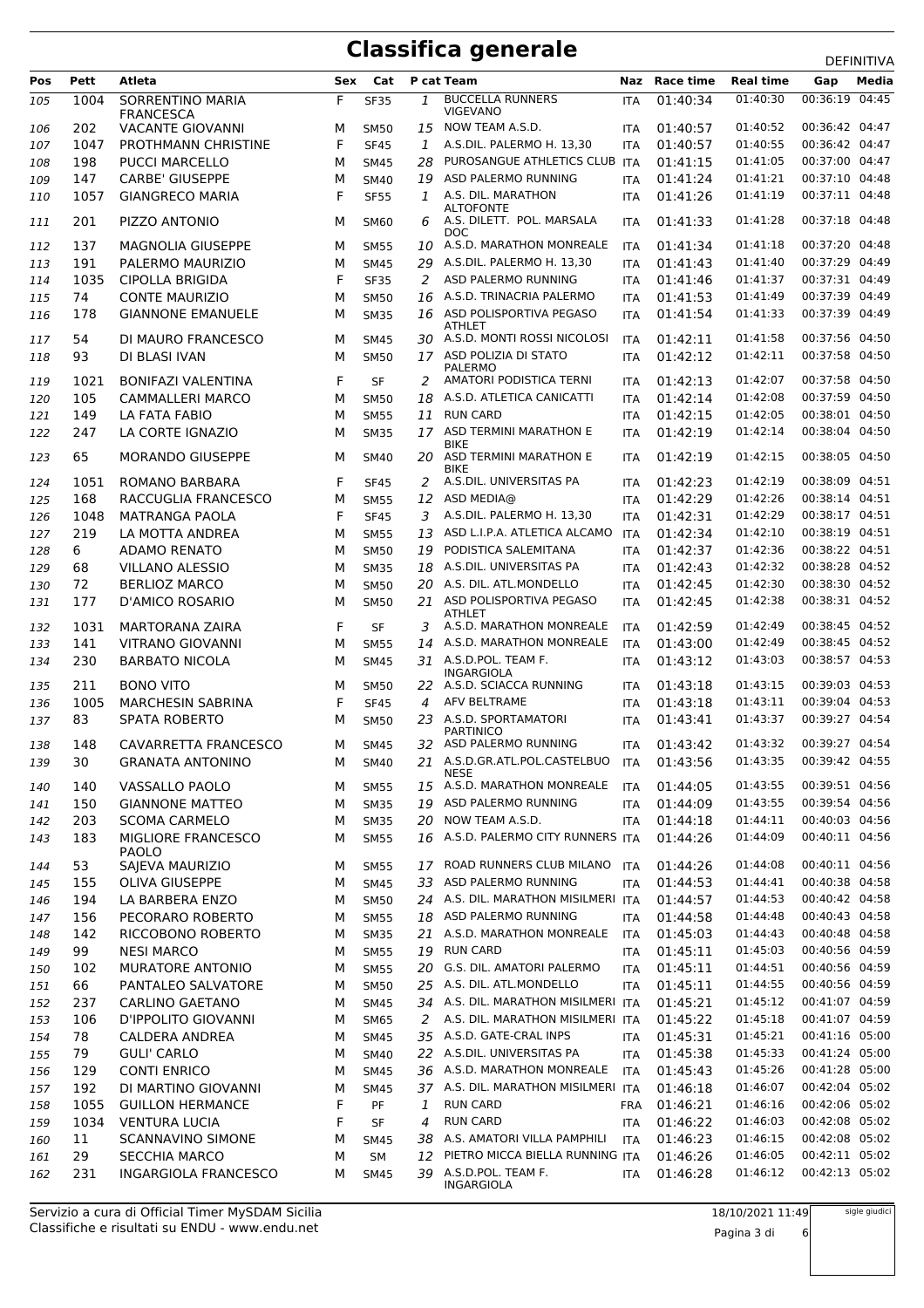|            |             |                                                |        |                            |     |                                                                               |                          |                      |                      | DEFINITIVA                       |
|------------|-------------|------------------------------------------------|--------|----------------------------|-----|-------------------------------------------------------------------------------|--------------------------|----------------------|----------------------|----------------------------------|
| Pos        | Pett        | Atleta                                         | Sex    | Cat                        |     | P cat Team                                                                    | Naz                      | Race time            | <b>Real time</b>     | Media<br>Gap                     |
| 105        | 1004        | SORRENTINO MARIA<br><b>FRANCESCA</b>           | F      | <b>SF35</b>                | 1   | <b>BUCCELLA RUNNERS</b><br><b>VIGEVANO</b>                                    | <b>ITA</b>               | 01:40:34             | 01:40:30             | 00:36:19<br>04:45                |
| 106        | 202         | <b>VACANTE GIOVANNI</b>                        | М      | <b>SM50</b>                | 15  | NOW TEAM A.S.D.                                                               | <b>ITA</b>               | 01:40:57             | 01:40:52             | 00:36:42 04:47                   |
| 107        | 1047        | PROTHMANN CHRISTINE                            | F      | <b>SF45</b>                | 1   | A.S.DIL. PALERMO H. 13,30                                                     | <b>ITA</b>               | 01:40:57             | 01:40:55             | 00:36:42 04:47                   |
| 108        | 198         | <b>PUCCI MARCELLO</b>                          | М      | <b>SM45</b>                | 28  | PUROSANGUE ATHLETICS CLUB ITA                                                 |                          | 01:41:15             | 01:41:05             | 00:37:00 04:47                   |
| 109        | 147         | <b>CARBE' GIUSEPPE</b>                         | м      | <b>SM40</b>                | 19  | ASD PALERMO RUNNING                                                           | <b>ITA</b>               | 01:41:24             | 01:41:21             | 00:37:10 04:48                   |
| 110        | 1057        | <b>GIANGRECO MARIA</b>                         | F      | <b>SF55</b>                | 1   | A.S. DIL. MARATHON                                                            | ITA                      | 01:41:26             | 01:41:19             | 00:37:11 04:48                   |
| 111        | 201         | PIZZO ANTONIO                                  | М      | <b>SM60</b>                | 6   | <b>ALTOFONTE</b><br>A.S. DILETT. POL. MARSALA                                 | <b>ITA</b>               | 01:41:33             | 01:41:28             | 00:37:18 04:48                   |
| 112        | 137         | <b>MAGNOLIA GIUSEPPE</b>                       | М      | <b>SM55</b>                | 10  | <b>DOC</b><br>A.S.D. MARATHON MONREALE                                        | <b>ITA</b>               | 01:41:34             | 01:41:18             | 00:37:20 04:48                   |
|            | 191         |                                                |        |                            | 29  | A.S.DIL. PALERMO H. 13,30                                                     |                          | 01:41:43             | 01:41:40             | 00:37:29 04:49                   |
| 113        |             | PALERMO MAURIZIO                               | м      | <b>SM45</b>                |     |                                                                               | <b>ITA</b>               |                      |                      | 00:37:31 04:49                   |
| 114        | 1035        | <b>CIPOLLA BRIGIDA</b>                         | F      | <b>SF35</b>                | 2   | ASD PALERMO RUNNING                                                           | ITA                      | 01:41:46             | 01:41:37             |                                  |
| 115        | 74          | <b>CONTE MAURIZIO</b>                          | М      | <b>SM50</b>                | 16  | A.S.D. TRINACRIA PALERMO                                                      | <b>ITA</b>               | 01:41:53             | 01:41:49             | 00:37:39 04:49                   |
| 116<br>117 | 178<br>54   | <b>GIANNONE EMANUELE</b><br>DI MAURO FRANCESCO | М<br>М | <b>SM35</b><br><b>SM45</b> |     | 16 ASD POLISPORTIVA PEGASO<br><b>ATHLET</b><br>30 A.S.D. MONTI ROSSI NICOLOSI | ITA<br><b>ITA</b>        | 01:41:54<br>01:42:11 | 01:41:33<br>01:41:58 | 00:37:39 04:49<br>00:37:56 04:50 |
| 118        | 93          | DI BLASI IVAN                                  | М      | <b>SM50</b>                |     | 17 ASD POLIZIA DI STATO                                                       | <b>ITA</b>               | 01:42:12             | 01:42:11             | 00:37:58 04:50                   |
| 119        | 1021        | <b>BONIFAZI VALENTINA</b>                      | F      | <b>SF</b>                  | 2   | PALERMO<br>AMATORI PODISTICA TERNI                                            | <b>ITA</b>               | 01:42:13             | 01:42:07             | 00:37:58 04:50                   |
| 120        | 105         | <b>CAMMALLERI MARCO</b>                        | М      | <b>SM50</b>                | 18  | A.S.D. ATLETICA CANICATTI                                                     | <b>ITA</b>               | 01:42:14             | 01:42:08             | 00:37:59 04:50                   |
| 121        | 149         | LA FATA FABIO                                  | м      | <b>SM55</b>                | 11  | <b>RUN CARD</b>                                                               | ITA                      | 01:42:15             | 01:42:05             | 00:38:01 04:50                   |
| 122        | 247         | LA CORTE IGNAZIO                               | М      | <b>SM35</b>                | 17  | ASD TERMINI MARATHON E                                                        | <b>ITA</b>               | 01:42:19             | 01:42:14             | 00:38:04 04:50                   |
| 123        | 65          | <b>MORANDO GIUSEPPE</b>                        | м      | <b>SM40</b>                | 20. | <b>BIKE</b><br>ASD TERMINI MARATHON E                                         | <b>ITA</b>               | 01:42:19             | 01:42:15             | 00:38:05 04:50                   |
| 124        | 1051        | ROMANO BARBARA                                 | F      | <b>SF45</b>                | 2   | <b>BIKE</b><br>A.S.DIL. UNIVERSITAS PA                                        | <b>ITA</b>               | 01:42:23             | 01:42:19             | 00:38:09 04:51                   |
| 125        | 168         | RACCUGLIA FRANCESCO                            | м      | <b>SM55</b>                | 12  | ASD MEDIA@                                                                    | <b>ITA</b>               | 01:42:29             | 01:42:26             | 00:38:14 04:51                   |
| 126        | 1048        | <b>MATRANGA PAOLA</b>                          | F      | <b>SF45</b>                | 3   | A.S.DIL. PALERMO H. 13,30                                                     | <b>ITA</b>               | 01:42:31             | 01:42:29             | 00:38:17 04:51                   |
| 127        | 219         | LA MOTTA ANDREA                                | М      | <b>SM55</b>                | 13  | ASD L.I.P.A. ATLETICA ALCAMO                                                  | <b>ITA</b>               | 01:42:34             | 01:42:10             | 00:38:19 04:51                   |
|            |             | <b>ADAMO RENATO</b>                            |        |                            |     | PODISTICA SALEMITANA                                                          |                          | 01:42:37             | 01:42:36             | 00:38:22 04:51                   |
| 128        | 6           |                                                | М      | <b>SM50</b>                | 19  |                                                                               | <b>ITA</b>               |                      |                      |                                  |
| 129        | 68          | <b>VILLANO ALESSIO</b>                         | М      | <b>SM35</b>                | 18  | A.S.DIL. UNIVERSITAS PA                                                       | <b>ITA</b>               | 01:42:43             | 01:42:32             | 00:38:28 04:52                   |
| 130        | 72          | <b>BERLIOZ MARCO</b>                           | м      | <b>SM50</b>                | 20  | A.S. DIL. ATL.MONDELLO                                                        | <b>ITA</b>               | 01:42:45             | 01:42:30             | 00:38:30 04:52                   |
| 131        | 177<br>1031 | D'AMICO ROSARIO                                | М<br>F | <b>SM50</b><br><b>SF</b>   | 3   | 21 ASD POLISPORTIVA PEGASO<br><b>ATHLET</b><br>A.S.D. MARATHON MONREALE       | <b>ITA</b>               | 01:42:45             | 01:42:38<br>01:42:49 | 00:38:31 04:52<br>00:38:45 04:52 |
| 132        |             | <b>MARTORANA ZAIRA</b>                         |        |                            |     |                                                                               | ITA                      | 01:42:59             |                      |                                  |
| 133        | 141         | <b>VITRANO GIOVANNI</b>                        | М      | <b>SM55</b>                | 14  | A.S.D. MARATHON MONREALE                                                      | <b>ITA</b>               | 01:43:00             | 01:42:49             | 00:38:45 04:52                   |
| 134        | 230<br>211  | <b>BARBATO NICOLA</b><br><b>BONO VITO</b>      | М<br>М | <b>SM45</b>                | 31  | A.S.D.POL. TEAM F.<br><b>INGARGIOLA</b><br>22 A.S.D. SCIACCA RUNNING          | <b>ITA</b><br><b>ITA</b> | 01:43:12<br>01:43:18 | 01:43:03<br>01:43:15 | 00:38:57 04:53<br>00:39:03 04:53 |
| 135        |             |                                                |        | <b>SM50</b>                |     | AFV BELTRAME                                                                  |                          |                      | 01:43:11             | 00:39:04 04:53                   |
| 136        | 1005        | <b>MARCHESIN SABRINA</b>                       | F      | <b>SF45</b>                | 4   |                                                                               | <b>ITA</b>               | 01:43:18             |                      |                                  |
| 137<br>138 | 83<br>148   | <b>SPATA ROBERTO</b><br>CAVARRETTA FRANCESCO   | М<br>М | <b>SM50</b><br><b>SM45</b> | 23  | A.S.D. SPORTAMATORI<br><b>PARTINICO</b><br>32 ASD PALERMO RUNNING             | <b>ITA</b><br><b>ITA</b> | 01:43:41<br>01:43:42 | 01:43:37<br>01:43:32 | 00:39:27 04:54<br>00:39:27 04:54 |
| 139        | 30          | <b>GRANATA ANTONINO</b>                        |        | SM40                       |     | 21 A.S.D.GR.ATL.POL.CASTELBUO                                                 |                          | 01:43:56             | 01:43:35             | 00:39:42 04:55                   |
| 140        | 140         | <b>VASSALLO PAOLO</b>                          | М<br>м | <b>SM55</b>                |     | <b>NESE</b><br>15 A.S.D. MARATHON MONREALE                                    | ITA<br><b>ITA</b>        | 01:44:05             | 01:43:55             | 00:39:51 04:56                   |
|            |             |                                                |        |                            | 19  | ASD PALERMO RUNNING                                                           |                          | 01:44:09             | 01:43:55             | 00:39:54 04:56                   |
| 141        | 150         | <b>GIANNONE MATTEO</b>                         | М      | <b>SM35</b>                |     |                                                                               | ITA                      |                      |                      |                                  |
| 142<br>143 | 203<br>183  | <b>SCOMA CARMELO</b><br>MIGLIORE FRANCESCO     | М<br>М | <b>SM35</b><br><b>SM55</b> | 20  | NOW TEAM A.S.D.<br>16 A.S.D. PALERMO CITY RUNNERS ITA                         | <b>ITA</b>               | 01:44:18<br>01:44:26 | 01:44:11<br>01:44:09 | 00:40:03 04:56<br>00:40:11 04:56 |
| 144        | 53          | <b>PAOLO</b><br>SAJEVA MAURIZIO                | М      | <b>SM55</b>                | 17  | ROAD RUNNERS CLUB MILANO                                                      | <b>ITA</b>               | 01:44:26             | 01:44:08             | 00:40:11 04:56                   |
| 145        | 155         | <b>OLIVA GIUSEPPE</b>                          | М      | <b>SM45</b>                | 33  | ASD PALERMO RUNNING                                                           | ITA                      | 01:44:53             | 01:44:41             | 00:40:38 04:58                   |
|            |             |                                                |        |                            |     | 24 A.S. DIL. MARATHON MISILMERI ITA                                           |                          |                      | 01:44:53             | 00:40:42 04:58                   |
| 146        | 194         | LA BARBERA ENZO                                | М      | <b>SM50</b>                |     |                                                                               |                          | 01:44:57             |                      |                                  |
| 147        | 156         | PECORARO ROBERTO                               | М      | <b>SM55</b>                |     | 18 ASD PALERMO RUNNING                                                        | ITA                      | 01:44:58             | 01:44:48             | 00:40:43 04:58                   |
| 148        | 142         | RICCOBONO ROBERTO                              | М      | <b>SM35</b>                |     | 21 A.S.D. MARATHON MONREALE                                                   | <b>ITA</b>               | 01:45:03             | 01:44:43             | 00:40:48 04:58                   |
| 149        | 99          | <b>NESI MARCO</b>                              | М      | <b>SM55</b>                | 19  | <b>RUN CARD</b>                                                               | <b>ITA</b>               | 01:45:11             | 01:45:03             | 00:40:56 04:59                   |
| 150        | 102         | <b>MURATORE ANTONIO</b>                        | М      | <b>SM55</b>                | 20  | G.S. DIL. AMATORI PALERMO                                                     | <b>ITA</b>               | 01:45:11             | 01:44:51             | 00:40:56 04:59                   |
| 151        | 66          | PANTALEO SALVATORE                             | М      | <b>SM50</b>                |     | 25 A.S. DIL. ATL.MONDELLO                                                     | <b>ITA</b>               | 01:45:11             | 01:44:55             | 00:40:56 04:59                   |
| 152        | 237         | CARLINO GAETANO                                | М      | <b>SM45</b>                |     | 34 A.S. DIL. MARATHON MISILMERI ITA                                           |                          | 01:45:21             | 01:45:12             | 00:41:07 04:59                   |
| 153        | 106         | D'IPPOLITO GIOVANNI                            | М      | <b>SM65</b>                |     | 2 A.S. DIL. MARATHON MISILMERI ITA                                            |                          | 01:45:22             | 01:45:18             | 00:41:07 04:59                   |
| 154        | 78          | <b>CALDERA ANDREA</b>                          | М      | <b>SM45</b>                |     | 35 A.S.D. GATE-CRAL INPS                                                      | ITA                      | 01:45:31             | 01:45:21             | 00:41:16 05:00                   |
| 155        | 79          | <b>GULI' CARLO</b>                             | М      | SM40                       |     | 22 A.S.DIL. UNIVERSITAS PA                                                    | ITA                      | 01:45:38             | 01:45:33             | 00:41:24 05:00                   |
| 156        | 129         | <b>CONTI ENRICO</b>                            | М      | <b>SM45</b>                |     | 36 A.S.D. MARATHON MONREALE                                                   | <b>ITA</b>               | 01:45:43             | 01:45:26             | 00:41:28 05:00                   |
| 157        | 192         | DI MARTINO GIOVANNI                            | М      | SM45                       |     | 37 A.S. DIL. MARATHON MISILMERI ITA                                           |                          | 01:46:18             | 01:46:07             | 00:42:04 05:02                   |
| 158        | 1055        | <b>GUILLON HERMANCE</b>                        | F      | PF                         | 1   | <b>RUN CARD</b>                                                               | <b>FRA</b>               | 01:46:21             | 01:46:16             | 00:42:06 05:02                   |
| 159        | 1034        | <b>VENTURA LUCIA</b>                           | F      | SF                         | 4   | <b>RUN CARD</b>                                                               | ITA                      | 01:46:22             | 01:46:03             | 00:42:08 05:02                   |
| 160        | 11          | <b>SCANNAVINO SIMONE</b>                       | М      | <b>SM45</b>                | 38  | A.S. AMATORI VILLA PAMPHILI                                                   | <b>ITA</b>               | 01:46:23             | 01:46:15             | 00:42:08 05:02                   |
|            | 29          | <b>SECCHIA MARCO</b>                           | М      | SM                         | 12  | PIETRO MICCA BIELLA RUNNING ITA                                               |                          | 01:46:26             | 01:46:05             | 00:42:11 05:02                   |
| 161<br>162 | 231         | INGARGIOLA FRANCESCO                           | М      | <b>SM45</b>                | 39  | A.S.D.POL. TEAM F.<br>INGARGIOLA                                              | <b>ITA</b>               | 01:46:28             | 01:46:12             | 00:42:13 05:02                   |

Pagina 3 di 6

sigle giudici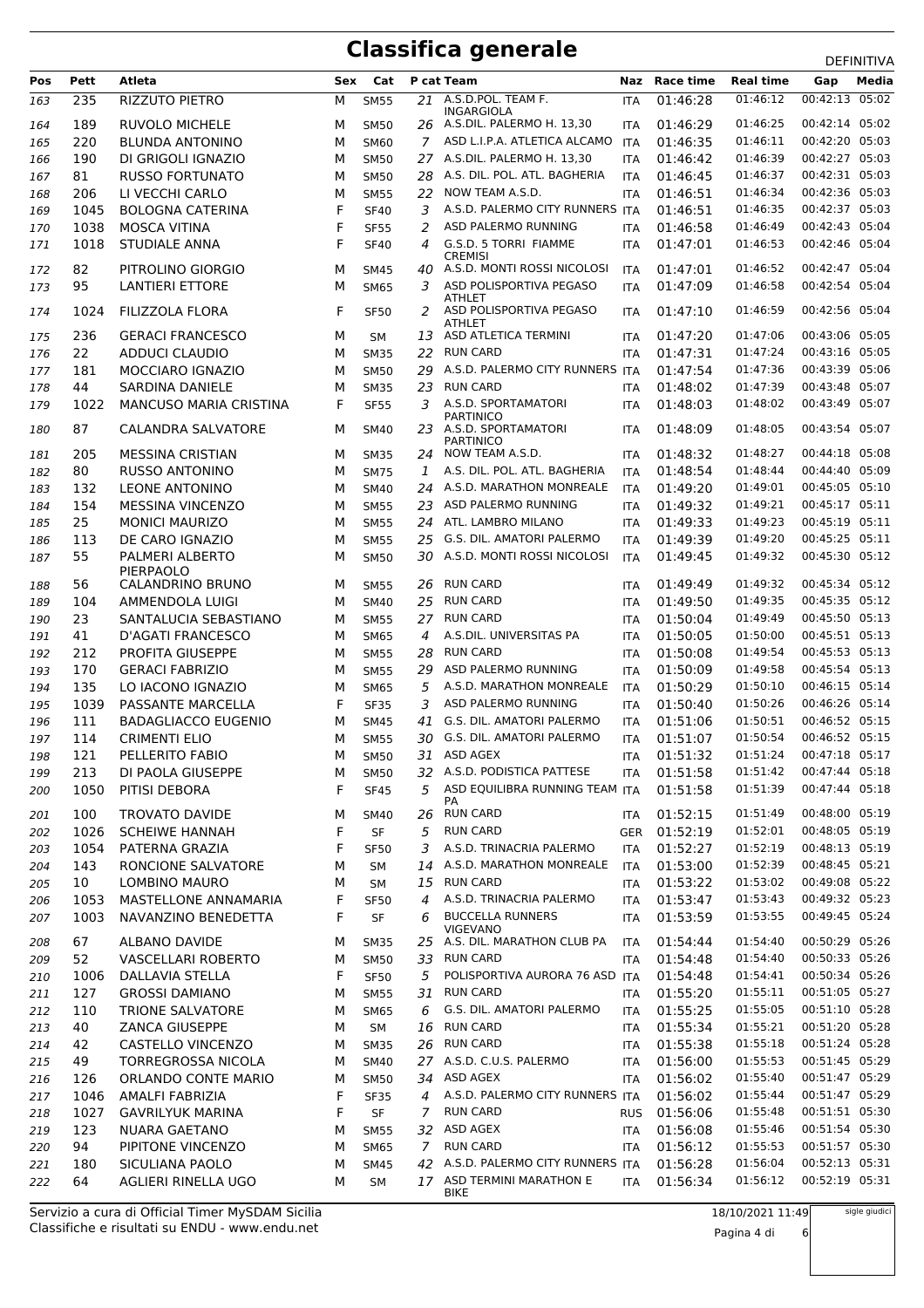|            |              |                                             |        |                   |                |                                                                                |                   |                      |                      | DEFINITIVA                       |
|------------|--------------|---------------------------------------------|--------|-------------------|----------------|--------------------------------------------------------------------------------|-------------------|----------------------|----------------------|----------------------------------|
| Pos        | Pett         | Atleta                                      | Sex    | Cat               |                | P cat Team                                                                     |                   | Naz Race time        | <b>Real time</b>     | Media<br>Gap                     |
| 163        | 235          | RIZZUTO PIETRO                              | М      | <b>SM55</b>       |                | 21 A.S.D.POL. TEAM F.<br><b>INGARGIOLA</b>                                     | <b>ITA</b>        | 01:46:28             | 01:46:12             | 00:42:13 05:02                   |
| 164        | 189          | <b>RUVOLO MICHELE</b>                       | м      | <b>SM50</b>       |                | 26 A.S.DIL. PALERMO H. 13,30                                                   | <b>ITA</b>        | 01:46:29             | 01:46:25             | 00:42:14 05:02                   |
| 165        | 220          | <b>BLUNDA ANTONINO</b>                      | М      | <b>SM60</b>       | 7              | ASD L.I.P.A. ATLETICA ALCAMO                                                   | ITA               | 01:46:35             | 01:46:11             | 00:42:20 05:03                   |
| 166        | 190          | DI GRIGOLI IGNAZIO                          | М      | <b>SM50</b>       |                | 27 A.S.DIL. PALERMO H. 13,30                                                   | <b>ITA</b>        | 01:46:42             | 01:46:39             | 00:42:27 05:03                   |
| 167        | 81           | <b>RUSSO FORTUNATO</b>                      | М      | <b>SM50</b>       | 28             | A.S. DIL. POL. ATL. BAGHERIA                                                   | <b>ITA</b>        | 01:46:45             | 01:46:37             | 00:42:31 05:03                   |
| 168        | 206          | LI VECCHI CARLO                             | М      | <b>SM55</b>       | 22             | NOW TEAM A.S.D.                                                                | <b>ITA</b>        | 01:46:51             | 01:46:34             | 00:42:36 05:03                   |
| 169        | 1045         | <b>BOLOGNA CATERINA</b>                     | F      | <b>SF40</b>       | 3              | A.S.D. PALERMO CITY RUNNERS ITA                                                |                   | 01:46:51             | 01:46:35             | 00:42:37 05:03                   |
| 170        | 1038         | <b>MOSCA VITINA</b>                         | F      | <b>SF55</b>       | 2              | ASD PALERMO RUNNING                                                            | <b>ITA</b>        | 01:46:58             | 01:46:49             | 00:42:43 05:04                   |
| 171        | 1018         | STUDIALE ANNA                               | F      | <b>SF40</b>       | 4              | G.S.D. 5 TORRI FIAMME<br><b>CREMISI</b>                                        | <b>ITA</b>        | 01:47:01             | 01:46:53             | 00:42:46 05:04                   |
| 172        | 82           | PITROLINO GIORGIO                           | м      | <b>SM45</b>       |                | 40 A.S.D. MONTI ROSSI NICOLOSI                                                 | <b>ITA</b>        | 01:47:01             | 01:46:52             | 00:42:47 05:04                   |
| 173        | 95           | <b>LANTIERI ETTORE</b>                      | М      | <b>SM65</b>       | 3              | ASD POLISPORTIVA PEGASO<br><b>ATHLET</b>                                       | <b>ITA</b>        | 01:47:09             | 01:46:58             | 00:42:54 05:04                   |
| 174        | 1024         | FILIZZOLA FLORA                             | F      | <b>SF50</b>       | 2              | ASD POLISPORTIVA PEGASO<br>ATHLET                                              | <b>ITA</b>        | 01:47:10             | 01:46:59             | 00:42:56 05:04                   |
| 175        | 236          | <b>GERACI FRANCESCO</b>                     | М      | SМ                | 13             | ASD ATLETICA TERMINI                                                           | <b>ITA</b>        | 01:47:20             | 01:47:06             | 00:43:06 05:05                   |
| 176        | 22           | ADDUCI CLAUDIO                              | М      | <b>SM35</b>       | 22             | <b>RUN CARD</b>                                                                | <b>ITA</b>        | 01:47:31             | 01:47:24             | 00:43:16 05:05                   |
| 177        | 181          | MOCCIARO IGNAZIO                            | М      | <b>SM50</b>       | 29             | A.S.D. PALERMO CITY RUNNERS ITA                                                |                   | 01:47:54             | 01:47:36             | 00:43:39 05:06                   |
| 178        | 44           | SARDINA DANIELE                             | М      | <b>SM35</b>       | 23             | <b>RUN CARD</b>                                                                | <b>ITA</b>        | 01:48:02             | 01:47:39             | 00:43:48 05:07                   |
| 179        | 1022         | <b>MANCUSO MARIA CRISTINA</b>               | F      | <b>SF55</b>       | 3              | A.S.D. SPORTAMATORI<br><b>PARTINICO</b>                                        | <b>ITA</b>        | 01:48:03             | 01:48:02             | 00:43:49 05:07                   |
| 180        | 87           | <b>CALANDRA SALVATORE</b>                   | м      | <b>SM40</b>       |                | 23 A.S.D. SPORTAMATORI<br><b>PARTINICO</b>                                     | <b>ITA</b>        | 01:48:09             | 01:48:05             | 00:43:54 05:07                   |
| 181        | 205          | <b>MESSINA CRISTIAN</b>                     | М      | <b>SM35</b>       |                | 24 NOW TEAM A.S.D.                                                             | <b>ITA</b>        | 01:48:32             | 01:48:27             | 00:44:18 05:08                   |
| 182        | 80           | <b>RUSSO ANTONINO</b>                       | М      | <b>SM75</b>       | 1              | A.S. DIL. POL. ATL. BAGHERIA                                                   | <b>ITA</b>        | 01:48:54             | 01:48:44             | 00:44:40 05:09                   |
| 183        | 132          | <b>LEONE ANTONINO</b>                       | М      | <b>SM40</b>       | 24             | A.S.D. MARATHON MONREALE                                                       | <b>ITA</b>        | 01:49:20             | 01:49:01             | 00:45:05 05:10                   |
| 184        | 154          | <b>MESSINA VINCENZO</b>                     | М      | <b>SM55</b>       | 23             | ASD PALERMO RUNNING                                                            | <b>ITA</b>        | 01:49:32             | 01:49:21             | 00:45:17 05:11                   |
| 185        | 25           | <b>MONICI MAURIZO</b>                       | М      | <b>SM55</b>       |                | 24 ATL. LAMBRO MILANO                                                          | <b>ITA</b>        | 01:49:33             | 01:49:23             | 00:45:19 05:11                   |
| 186        | 113          | DE CARO IGNAZIO                             | М      | <b>SM55</b>       | 25             | G.S. DIL. AMATORI PALERMO                                                      | <b>ITA</b>        | 01:49:39             | 01:49:20             | 00:45:25 05:11                   |
| 187        | 55           | PALMERI ALBERTO<br><b>PIERPAOLO</b>         | М      | <b>SM50</b>       |                | 30 A.S.D. MONTI ROSSI NICOLOSI                                                 | <b>ITA</b>        | 01:49:45             | 01:49:32             | 00:45:30 05:12                   |
| 188        | 56           | CALANDRINO BRUNO                            | м      | <b>SM55</b>       | 26             | RUN CARD                                                                       | <b>ITA</b>        | 01:49:49             | 01:49:32             | 00:45:34 05:12                   |
| 189        | 104          | AMMENDOLA LUIGI                             | М      | <b>SM40</b>       |                | 25 RUN CARD                                                                    | <b>ITA</b>        | 01:49:50             | 01:49:35             | 00:45:35 05:12                   |
| 190        | 23           | SANTALUCIA SEBASTIANO                       | м      | <b>SM55</b>       | 27             | <b>RUN CARD</b>                                                                | <b>ITA</b>        | 01:50:04             | 01:49:49             | 00:45:50 05:13                   |
| 191        | 41           | D'AGATI FRANCESCO                           | М      | <b>SM65</b>       | 4              | A.S.DIL. UNIVERSITAS PA                                                        | <b>ITA</b>        | 01:50:05             | 01:50:00             | 00:45:51 05:13                   |
| 192        | 212          | <b>PROFITA GIUSEPPE</b>                     | М      | <b>SM55</b>       | 28             | <b>RUN CARD</b>                                                                | <b>ITA</b>        | 01:50:08             | 01:49:54             | 00:45:53 05:13                   |
| 193        | 170          | <b>GERACI FABRIZIO</b>                      | М      | <b>SM55</b>       | 29             | ASD PALERMO RUNNING                                                            | <b>ITA</b>        | 01:50:09             | 01:49:58             | 00:45:54 05:13                   |
| 194        | 135          | LO IACONO IGNAZIO                           | М      | <b>SM65</b>       | 5              | A.S.D. MARATHON MONREALE                                                       | <b>ITA</b>        | 01:50:29             | 01:50:10             | 00:46:15 05:14                   |
| 195        | 1039         | PASSANTE MARCELLA                           | F      | <b>SF35</b>       | 3              | ASD PALERMO RUNNING                                                            | <b>ITA</b>        | 01:50:40             | 01:50:26             | 00:46:26 05:14                   |
| 196        | 111          | <b>BADAGLIACCO EUGENIO</b>                  | М      | <b>SM45</b>       | 41             | G.S. DIL. AMATORI PALERMO                                                      | <b>ITA</b>        | 01:51:06             | 01:50:51             | 00:46:52 05:15                   |
| 197        | 114          | <b>CRIMENTI ELIO</b>                        | М      | <b>SM55</b>       |                | 30 G.S. DIL. AMATORI PALERMO                                                   | <b>ITA</b>        | 01:51:07             | 01:50:54             | 00:46:52 05:15                   |
| 198        | 121          | PELLERITO FABIO                             | М      | <b>SM50</b>       |                | 31 ASD AGEX                                                                    |                   | ITA 01:51:32         | 01:51:24             | 00:47:18 05:17                   |
| 199        | 213          | DI PAOLA GIUSEPPE                           | м      | <b>SM50</b>       |                | 32 A.S.D. PODISTICA PATTESE                                                    | ITA.              | 01:51:58             | 01:51:42             | 00:47:44 05:18                   |
| 200        | 1050         | PITISI DEBORA                               | F      | <b>SF45</b>       |                | 5 ASD EQUILIBRA RUNNING TEAM ITA                                               |                   | 01:51:58             | 01:51:39             | 00:47:44 05:18                   |
| 201        | 100          | <b>TROVATO DAVIDE</b>                       | м      | <b>SM40</b>       |                | PA<br>26 RUN CARD                                                              | <b>ITA</b>        | 01:52:15             | 01:51:49             | 00:48:00 05:19                   |
| 202        | 1026         | <b>SCHEIWE HANNAH</b>                       | F      | SF                | 5              | <b>RUN CARD</b>                                                                | GER               | 01:52:19             | 01:52:01             | 00:48:05 05:19                   |
| 203        | 1054         | PATERNA GRAZIA                              | F      | <b>SF50</b>       | 3              | A.S.D. TRINACRIA PALERMO                                                       | ITA               | 01:52:27             | 01:52:19             | 00:48:13 05:19                   |
| 204        | 143          | RONCIONE SALVATORE                          | м      | SM                |                | 14 A.S.D. MARATHON MONREALE                                                    | ITA               | 01:53:00             | 01:52:39             | 00:48:45 05:21                   |
| 205        | 10           | LOMBINO MAURO                               | м      | SM                |                | 15 RUN CARD                                                                    | <b>ITA</b>        | 01:53:22             | 01:53:02             | 00:49:08 05:22                   |
|            |              |                                             |        |                   | $\overline{4}$ | A.S.D. TRINACRIA PALERMO                                                       |                   |                      | 01:53:43             | 00:49:32 05:23                   |
| 206<br>207 | 1053<br>1003 | MASTELLONE ANNAMARIA<br>NAVANZINO BENEDETTA | F<br>F | <b>SF50</b><br>SF | 6              | <b>BUCCELLA RUNNERS</b><br><b>VIGEVANO</b>                                     | <b>ITA</b><br>ITA | 01:53:47<br>01:53:59 | 01:53:55             | 00:49:45 05:24                   |
| 208        | 67           | <b>ALBANO DAVIDE</b>                        | М      | <b>SM35</b>       |                | 25 A.S. DIL. MARATHON CLUB PA                                                  | ITA               | 01:54:44             | 01:54:40             | 00:50:29 05:26                   |
| 209        | 52           | VASCELLARI ROBERTO                          | М      | <b>SM50</b>       | 33             | <b>RUN CARD</b>                                                                | ITA               | 01:54:48             | 01:54:40             | 00:50:33 05:26                   |
| 210        | 1006         | DALLAVIA STELLA                             | F      | <b>SF50</b>       | 5              | POLISPORTIVA AURORA 76 ASD ITA                                                 |                   | 01:54:48             | 01:54:41             | 00:50:34 05:26                   |
| 211        | 127          | <b>GROSSI DAMIANO</b>                       | М      | <b>SM55</b>       | 31             | <b>RUN CARD</b>                                                                | <b>ITA</b>        | 01:55:20             | 01:55:11             | 00:51:05 05:27                   |
| 212        | 110          | TRIONE SALVATORE                            | М      | <b>SM65</b>       | 6              | G.S. DIL. AMATORI PALERMO                                                      | ITA               | 01:55:25             | 01:55:05             | 00:51:10 05:28                   |
| 213        | 40           | <b>ZANCA GIUSEPPE</b>                       | М      | SM                | 16             | <b>RUN CARD</b>                                                                | <b>ITA</b>        | 01:55:34             | 01:55:21             | 00:51:20 05:28                   |
| 214        | 42           | CASTELLO VINCENZO                           | М      | <b>SM35</b>       |                | 26 RUN CARD                                                                    | ITA               | 01:55:38             | 01:55:18             | 00:51:24 05:28                   |
| 215        | 49           | <b>TORREGROSSA NICOLA</b>                   | M      | <b>SM40</b>       |                | 27 A.S.D. C.U.S. PALERMO                                                       | ITA               | 01:56:00             | 01:55:53             | 00:51:45 05:29                   |
|            |              |                                             |        |                   |                | 34 ASD AGEX                                                                    |                   |                      |                      | 00:51:47 05:29                   |
| 216        | 126          | ORLANDO CONTE MARIO                         | М      | SM50              |                |                                                                                | ITA               | 01:56:02             | 01:55:40             | 00:51:47 05:29                   |
| 217        | 1046         | AMALFI FABRIZIA                             | F      | <b>SF35</b>       |                | 4 A.S.D. PALERMO CITY RUNNERS ITA                                              |                   | 01:56:02             | 01:55:44             |                                  |
| 218        | 1027         | <b>GAVRILYUK MARINA</b>                     | F      | SF                | 7 <sup>7</sup> | <b>RUN CARD</b>                                                                | <b>RUS</b>        | 01:56:06             | 01:55:48             | 00:51:51 05:30                   |
| 219        | 123          | NUARA GAETANO                               | М      | <b>SM55</b>       |                | 32 ASD AGEX                                                                    | <b>ITA</b>        | 01:56:08             | 01:55:46             | 00:51:54 05:30                   |
| 220        | 94           | PIPITONE VINCENZO                           | М      | <b>SM65</b>       | $\overline{7}$ | <b>RUN CARD</b>                                                                | <b>ITA</b>        | 01:56:12             | 01:55:53             | 00:51:57 05:30                   |
| 221<br>222 | 180<br>64    | SICULIANA PAOLO<br>AGLIERI RINELLA UGO      | M<br>М | <b>SM45</b><br>SM |                | 42 A.S.D. PALERMO CITY RUNNERS ITA<br>17 ASD TERMINI MARATHON E<br><b>BIKE</b> | <b>ITA</b>        | 01:56:28<br>01:56:34 | 01:56:04<br>01:56:12 | 00:52:13 05:31<br>00:52:19 05:31 |

Classifiche e risultati su ENDU - www.endu.net Servizio a cura di Official Timer MySDAM Sicilia 18/10/2021 11:49

Pagina 4 di 6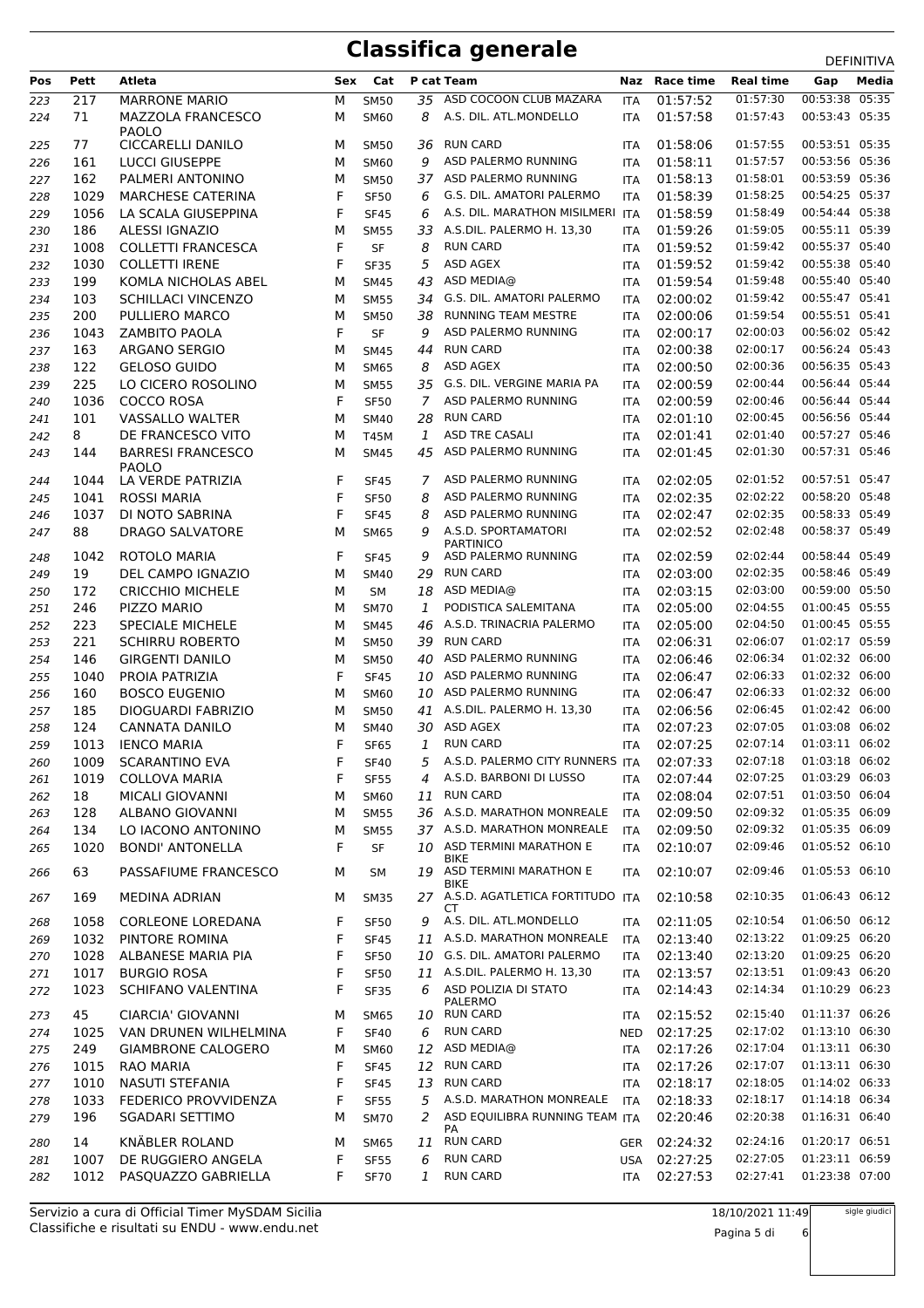|     |      |                           |     |             |    |                                      |            |               |                  | <b>DEFINITIVA</b> |
|-----|------|---------------------------|-----|-------------|----|--------------------------------------|------------|---------------|------------------|-------------------|
| Pos | Pett | Atleta                    | Sex | Cat         |    | P cat Team                           |            | Naz Race time | <b>Real time</b> | Media<br>Gap      |
| 223 | 217  | <b>MARRONE MARIO</b>      | М   | <b>SM50</b> |    | 35 ASD COCOON CLUB MAZARA            | ITA        | 01:57:52      | 01:57:30         | 00:53:38<br>05:35 |
| 224 | 71   | <b>MAZZOLA FRANCESCO</b>  | М   | <b>SM60</b> | 8  | A.S. DIL. ATL.MONDELLO               | <b>ITA</b> | 01:57:58      | 01:57:43         | 00:53:43 05:35    |
|     |      | <b>PAOLO</b>              |     |             |    |                                      |            |               |                  |                   |
| 225 | 77   | <b>CICCARELLI DANILO</b>  | м   | <b>SM50</b> | 36 | RUN CARD                             | <b>ITA</b> | 01:58:06      | 01:57:55         | 00:53:51 05:35    |
| 226 | 161  | <b>LUCCI GIUSEPPE</b>     | м   | <b>SM60</b> | 9  | ASD PALERMO RUNNING                  | ITA        | 01:58:11      | 01:57:57         | 00:53:56 05:36    |
| 227 | 162  | PALMERI ANTONINO          | М   | <b>SM50</b> |    | 37 ASD PALERMO RUNNING               | <b>ITA</b> | 01:58:13      | 01:58:01         | 00:53:59 05:36    |
| 228 | 1029 | <b>MARCHESE CATERINA</b>  | F   | <b>SF50</b> | 6  | G.S. DIL. AMATORI PALERMO            | ITA        | 01:58:39      | 01:58:25         | 00:54:25 05:37    |
| 229 | 1056 | LA SCALA GIUSEPPINA       | F   | <b>SF45</b> | 6  | A.S. DIL. MARATHON MISILMERI ITA     |            | 01:58:59      | 01:58:49         | 00:54:44 05:38    |
| 230 | 186  | ALESSI IGNAZIO            | М   | <b>SM55</b> | 33 | A.S.DIL. PALERMO H. 13,30            | <b>ITA</b> | 01:59:26      | 01:59:05         | 00:55:11 05:39    |
| 231 | 1008 | <b>COLLETTI FRANCESCA</b> | F   | SF          | 8  | <b>RUN CARD</b>                      | ITA        | 01:59:52      | 01:59:42         | 00:55:37 05:40    |
| 232 | 1030 | <b>COLLETTI IRENE</b>     | F   | <b>SF35</b> | 5  | ASD AGEX                             | ITA        | 01:59:52      | 01:59:42         | 00:55:38 05:40    |
| 233 | 199  | KOMLA NICHOLAS ABEL       | M   | <b>SM45</b> | 43 | ASD MEDIA@                           | ITA        | 01:59:54      | 01:59:48         | 00:55:40 05:40    |
| 234 | 103  | <b>SCHILLACI VINCENZO</b> | М   | <b>SM55</b> | 34 | G.S. DIL. AMATORI PALERMO            | <b>ITA</b> | 02:00:02      | 01:59:42         | 00:55:47 05:41    |
| 235 | 200  | PULLIERO MARCO            | м   | <b>SM50</b> | 38 | <b>RUNNING TEAM MESTRE</b>           | ITA        | 02:00:06      | 01:59:54         | 00:55:51 05:41    |
| 236 | 1043 | <b>ZAMBITO PAOLA</b>      | F   | <b>SF</b>   | 9  | ASD PALERMO RUNNING                  | ITA        | 02:00:17      | 02:00:03         | 00:56:02 05:42    |
| 237 | 163  | ARGANO SERGIO             | М   | <b>SM45</b> | 44 | <b>RUN CARD</b>                      | <b>ITA</b> | 02:00:38      | 02:00:17         | 00:56:24 05:43    |
| 238 | 122  | <b>GELOSO GUIDO</b>       | М   | <b>SM65</b> | 8  | ASD AGEX                             | <b>ITA</b> | 02:00:50      | 02:00:36         | 00:56:35 05:43    |
| 239 | 225  | LO CICERO ROSOLINO        | М   | <b>SM55</b> | 35 | G.S. DIL. VERGINE MARIA PA           | <b>ITA</b> | 02:00:59      | 02:00:44         | 00:56:44 05:44    |
| 240 | 1036 | COCCO ROSA                | F   | <b>SF50</b> | 7  | ASD PALERMO RUNNING                  | <b>ITA</b> | 02:00:59      | 02:00:46         | 00:56:44 05:44    |
| 241 | 101  | <b>VASSALLO WALTER</b>    | М   | <b>SM40</b> | 28 | <b>RUN CARD</b>                      | ITA        | 02:01:10      | 02:00:45         | 00:56:56 05:44    |
| 242 | 8    | DE FRANCESCO VITO         | М   | T45M        | 1  | ASD TRE CASALI                       | <b>ITA</b> | 02:01:41      | 02:01:40         | 00:57:27 05:46    |
| 243 | 144  | <b>BARRESI FRANCESCO</b>  | М   | <b>SM45</b> | 45 | ASD PALERMO RUNNING                  | <b>ITA</b> | 02:01:45      | 02:01:30         | 00:57:31 05:46    |
|     |      | <b>PAOLO</b>              |     |             |    |                                      |            |               |                  |                   |
| 244 | 1044 | LA VERDE PATRIZIA         | F   | <b>SF45</b> | 7  | ASD PALERMO RUNNING                  | <b>ITA</b> | 02:02:05      | 02:01:52         | 00:57:51 05:47    |
| 245 | 1041 | <b>ROSSI MARIA</b>        | F   | <b>SF50</b> | 8  | ASD PALERMO RUNNING                  | ITA        | 02:02:35      | 02:02:22         | 00:58:20 05:48    |
| 246 | 1037 | DI NOTO SABRINA           | F   | <b>SF45</b> | 8  | ASD PALERMO RUNNING                  | ITA        | 02:02:47      | 02:02:35         | 00:58:33 05:49    |
| 247 | 88   | <b>DRAGO SALVATORE</b>    | М   | <b>SM65</b> | 9  | A.S.D. SPORTAMATORI                  | <b>ITA</b> | 02:02:52      | 02:02:48         | 00:58:37 05:49    |
|     |      |                           |     |             |    | <b>PARTINICO</b>                     |            |               |                  |                   |
| 248 | 1042 | ROTOLO MARIA              | F   | <b>SF45</b> | 9  | ASD PALERMO RUNNING                  | ITA        | 02:02:59      | 02:02:44         | 00:58:44 05:49    |
| 249 | 19   | DEL CAMPO IGNAZIO         | М   | <b>SM40</b> | 29 | <b>RUN CARD</b>                      | <b>ITA</b> | 02:03:00      | 02:02:35         | 00:58:46 05:49    |
| 250 | 172  | <b>CRICCHIO MICHELE</b>   | м   | <b>SM</b>   | 18 | ASD MEDIA@                           | ITA        | 02:03:15      | 02:03:00         | 00:59:00 05:50    |
| 251 | 246  | PIZZO MARIO               | М   | <b>SM70</b> | 1  | PODISTICA SALEMITANA                 | ITA        | 02:05:00      | 02:04:55         | 01:00:45 05:55    |
| 252 | 223  | <b>SPECIALE MICHELE</b>   | М   | <b>SM45</b> | 46 | A.S.D. TRINACRIA PALERMO             | ITA        | 02:05:00      | 02:04:50         | 01:00:45 05:55    |
| 253 | 221  | <b>SCHIRRU ROBERTO</b>    | М   | <b>SM50</b> | 39 | <b>RUN CARD</b>                      | ITA        | 02:06:31      | 02:06:07         | 01:02:17 05:59    |
| 254 | 146  | <b>GIRGENTI DANILO</b>    | М   | <b>SM50</b> | 40 | ASD PALERMO RUNNING                  | ITA        | 02:06:46      | 02:06:34         | 01:02:32 06:00    |
| 255 | 1040 | PROIA PATRIZIA            | F   | <b>SF45</b> | 10 | ASD PALERMO RUNNING                  | <b>ITA</b> | 02:06:47      | 02:06:33         | 01:02:32 06:00    |
| 256 | 160  | <b>BOSCO EUGENIO</b>      | М   | <b>SM60</b> | 10 | ASD PALERMO RUNNING                  | ITA        | 02:06:47      | 02:06:33         | 01:02:32 06:00    |
| 257 | 185  | DIOGUARDI FABRIZIO        | М   | <b>SM50</b> | 41 | A.S.DIL. PALERMO H. 13,30            | ITA        | 02:06:56      | 02:06:45         | 01:02:42 06:00    |
| 258 | 124  | <b>CANNATA DANILO</b>     | М   | <b>SM40</b> | 30 | ASD AGEX                             | <b>ITA</b> | 02:07:23      | 02:07:05         | 01:03:08 06:02    |
| 259 | 1013 | <b>IENCO MARIA</b>        | F   | <b>SF65</b> | 1  | <b>RUN CARD</b>                      | ITA        | 02:07:25      | 02:07:14         | 01:03:11 06:02    |
| 260 | 1009 | SCARANTINO EVA            | F   | <b>SF40</b> | 5  | A.S.D. PALERMO CITY RUNNERS ITA      |            | 02:07:33      | 02:07:18         | 01:03:18 06:02    |
| 261 | 1019 | <b>COLLOVA MARIA</b>      | F   | <b>SF55</b> | 4  | A.S.D. BARBONI DI LUSSO              | <b>ITA</b> | 02:07:44      | 02:07:25         | 01:03:29 06:03    |
| 262 | 18   | MICALI GIOVANNI           | М   | SM60        | 11 | <b>RUN CARD</b>                      | ITA        | 02:08:04      | 02:07:51         | 01:03:50 06:04    |
| 263 | 128  | ALBANO GIOVANNI           | М   | <b>SM55</b> |    | 36 A.S.D. MARATHON MONREALE          | ITA        | 02:09:50      | 02:09:32         | 01:05:35 06:09    |
| 264 | 134  | LO IACONO ANTONINO        | М   | <b>SM55</b> |    | 37 A.S.D. MARATHON MONREALE          | <b>ITA</b> | 02:09:50      | 02:09:32         | 01:05:35 06:09    |
| 265 | 1020 | <b>BONDI' ANTONELLA</b>   | F   | SF          |    | 10 ASD TERMINI MARATHON E            | ITA        | 02:10:07      | 02:09:46         | 01:05:52 06:10    |
|     |      |                           |     |             |    | BIKE                                 |            |               |                  |                   |
| 266 | 63   | PASSAFIUME FRANCESCO      | м   | <b>SM</b>   |    | 19 ASD TERMINI MARATHON E<br>BIKE    | <b>ITA</b> | 02:10:07      | 02:09:46         | 01:05:53 06:10    |
| 267 | 169  | <b>MEDINA ADRIAN</b>      | м   | <b>SM35</b> |    | 27 A.S.D. AGATLETICA FORTITUDO ITA   |            | 02:10:58      | 02:10:35         | 01:06:43 06:12    |
|     |      |                           |     |             |    | СT                                   |            |               |                  |                   |
| 268 | 1058 | <b>CORLEONE LOREDANA</b>  | F   | <b>SF50</b> | 9  | A.S. DIL. ATL.MONDELLO               | ITA        | 02:11:05      | 02:10:54         | 01:06:50 06:12    |
| 269 | 1032 | PINTORE ROMINA            | F   | <b>SF45</b> |    | 11 A.S.D. MARATHON MONREALE          | ITA        | 02:13:40      | 02:13:22         | 01:09:25 06:20    |
| 270 | 1028 | <b>ALBANESE MARIA PIA</b> | F   | <b>SF50</b> |    | 10 G.S. DIL. AMATORI PALERMO         | ITA        | 02:13:40      | 02:13:20         | 01:09:25 06:20    |
| 271 | 1017 | <b>BURGIO ROSA</b>        | F   | <b>SF50</b> |    | 11 A.S.DIL. PALERMO H. 13,30         | ITA        | 02:13:57      | 02:13:51         | 01:09:43 06:20    |
| 272 | 1023 | <b>SCHIFANO VALENTINA</b> | F   | <b>SF35</b> | 6  | ASD POLIZIA DI STATO                 | ITA        | 02:14:43      | 02:14:34         | 01:10:29 06:23    |
| 273 | 45   | CIARCIA' GIOVANNI         | м   | <b>SM65</b> |    | PALERMO<br>10 RUN CARD               | <b>ITA</b> | 02:15:52      | 02:15:40         | 01:11:37 06:26    |
| 274 | 1025 | VAN DRUNEN WILHELMINA     | F   | <b>SF40</b> | 6  | <b>RUN CARD</b>                      | <b>NED</b> | 02:17:25      | 02:17:02         | 01:13:10 06:30    |
|     | 249  | <b>GIAMBRONE CALOGERO</b> |     |             | 12 | ASD MEDIA@                           |            |               | 02:17:04         | 01:13:11 06:30    |
| 275 |      |                           | М   | <b>SM60</b> |    |                                      | ITA        | 02:17:26      |                  |                   |
| 276 | 1015 | RAO MARIA                 | F   | <b>SF45</b> | 12 | <b>RUN CARD</b>                      | ITA        | 02:17:26      | 02:17:07         | 01:13:11 06:30    |
| 277 | 1010 | NASUTI STEFANIA           | F   | <b>SF45</b> | 13 | <b>RUN CARD</b>                      | <b>ITA</b> | 02:18:17      | 02:18:05         | 01:14:02 06:33    |
| 278 | 1033 | FEDERICO PROVVIDENZA      | F   | <b>SF55</b> | 5  | A.S.D. MARATHON MONREALE             | <b>ITA</b> | 02:18:33      | 02:18:17         | 01:14:18 06:34    |
| 279 | 196  | <b>SGADARI SETTIMO</b>    | м   | <b>SM70</b> | 2  | ASD EQUILIBRA RUNNING TEAM ITA<br>PA |            | 02:20:46      | 02:20:38         | 01:16:31 06:40    |
| 280 | 14   | KNÄBLER ROLAND            | м   | <b>SM65</b> | 11 | <b>RUN CARD</b>                      | GER        | 02:24:32      | 02:24:16         | 01:20:17 06:51    |
| 281 | 1007 | DE RUGGIERO ANGELA        | F   | <b>SF55</b> | 6  | <b>RUN CARD</b>                      | <b>USA</b> | 02:27:25      | 02:27:05         | 01:23:11 06:59    |
| 282 | 1012 | PASQUAZZO GABRIELLA       | F.  | <b>SF70</b> | 1  | <b>RUN CARD</b>                      | <b>ITA</b> | 02:27:53      | 02:27:41         | 01:23:38 07:00    |